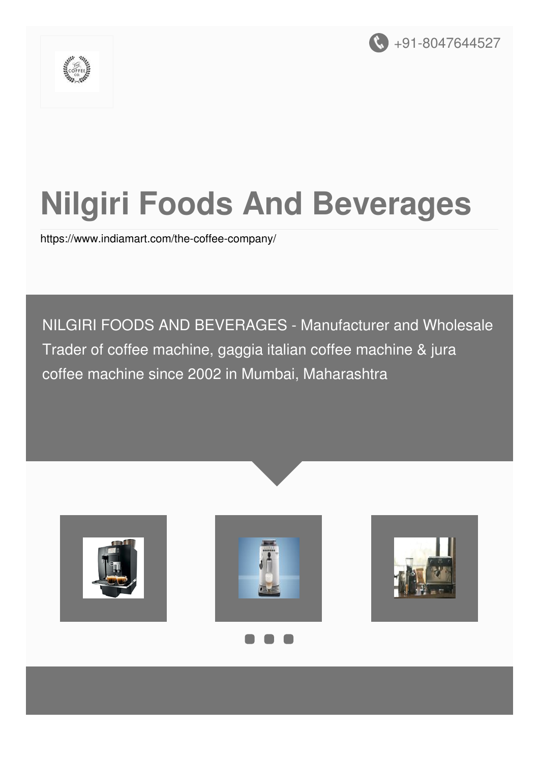



# **Nilgiri Foods And Beverages**

<https://www.indiamart.com/the-coffee-company/>

NILGIRI FOODS AND BEVERAGES - Manufacturer and Wholesale Trader of coffee machine, gaggia italian coffee machine & jura coffee machine since 2002 in Mumbai, Maharashtra









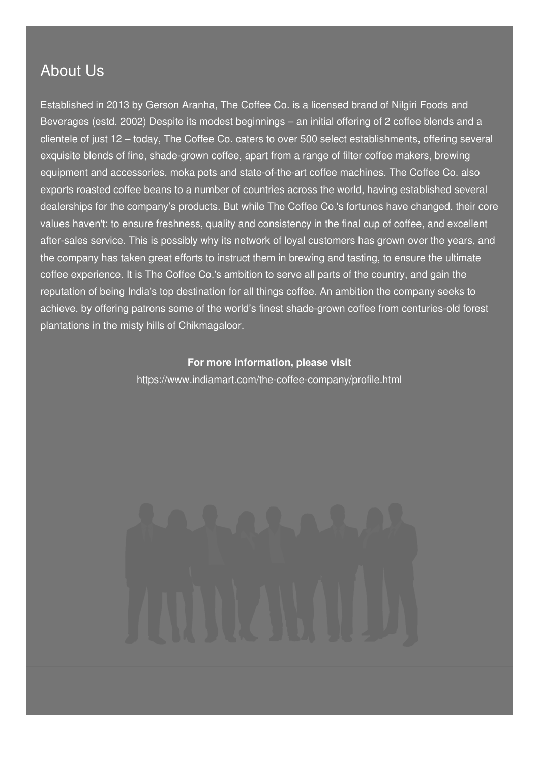### About Us

Established in 2013 by Gerson Aranha, The Coffee Co. is a licensed brand of Nilgiri Foods and Beverages (estd. 2002) Despite its modest beginnings – an initial offering of 2 coffee blends and a clientele of just 12 – today, The Coffee Co. caters to over 500 select establishments, offering several exquisite blends of fine, shade-grown coffee, apart from a range of filter coffee makers, brewing equipment and accessories, moka pots and state-of-the-art coffee machines. The Coffee Co. also exports roasted coffee beans to a number of countries across the world, having established several dealerships for the company's products. But while The Coffee Co.'s fortunes have changed, their core values haven't: to ensure freshness, quality and consistency in the final cup of coffee, and excellent after-sales service. This is possibly why its network of loyal customers has grown over the years, and the company has taken great efforts to instruct them in brewing and tasting, to ensure the ultimate coffee experience. It is The Coffee Co.'s ambition to serve all parts of the country, and gain the reputation of being India's top destination for all things coffee. An ambition the company seeks to achieve, by offering patrons some of the world's finest shade-grown coffee from centuries-old forest plantations in the misty hills of Chikmagaloor.

#### **For more information, please visit**

<https://www.indiamart.com/the-coffee-company/profile.html>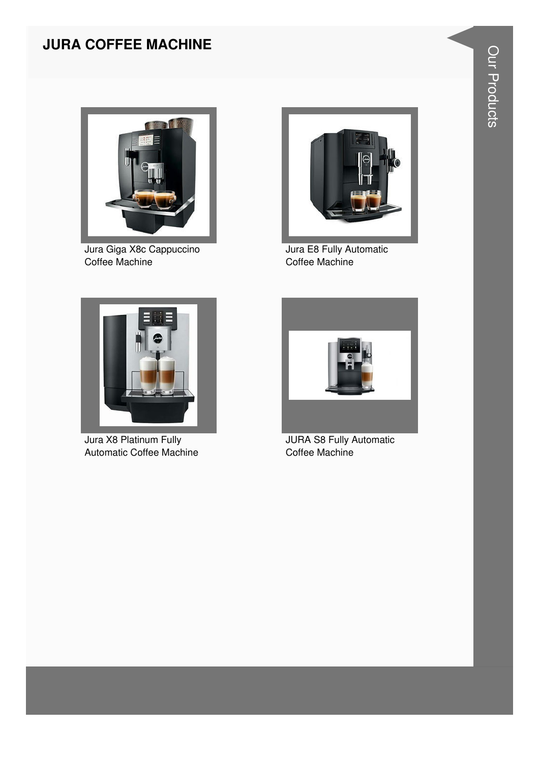#### **JURA COFFEE MACHINE**



Jura Giga X8c Cappuccino Coffee Machine



Jura E8 Fully Automatic Coffee Machine



Jura X8 Platinum Fully Automatic Coffee Machine



**JURA S8 Fully Automatic** Coffee Machine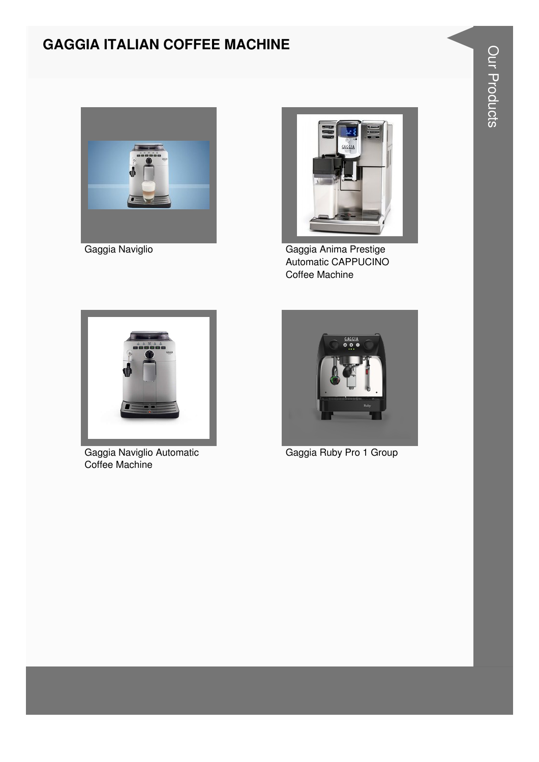### **GAGGIA ITALIAN COFFEE MACHINE**





Gaggia Naviglio **Gaggia Anima Prestige** Automatic CAPPUCINO Coffee Machine



Gaggia Naviglio Automatic Coffee Machine



Gaggia Ruby Pro 1 Group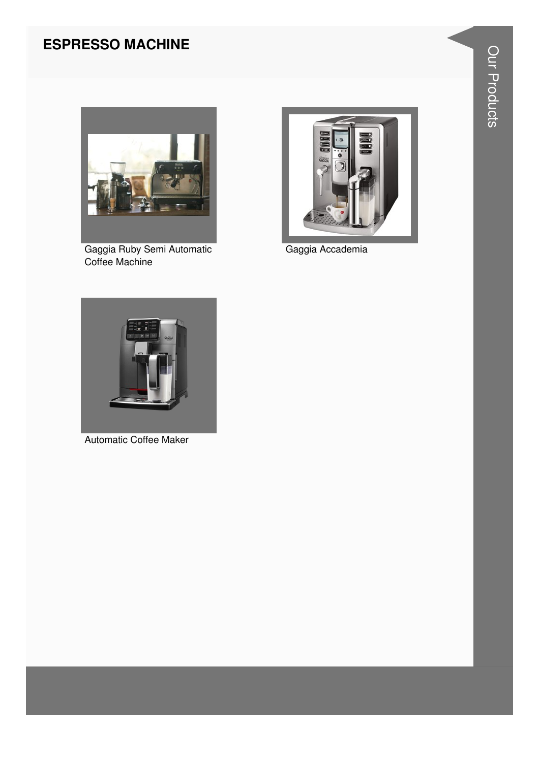#### **ESPRESSO MACHINE**



Gaggia Ruby Semi Automatic Coffee Machine



Gaggia Accademia



**Automatic Coffee Maker**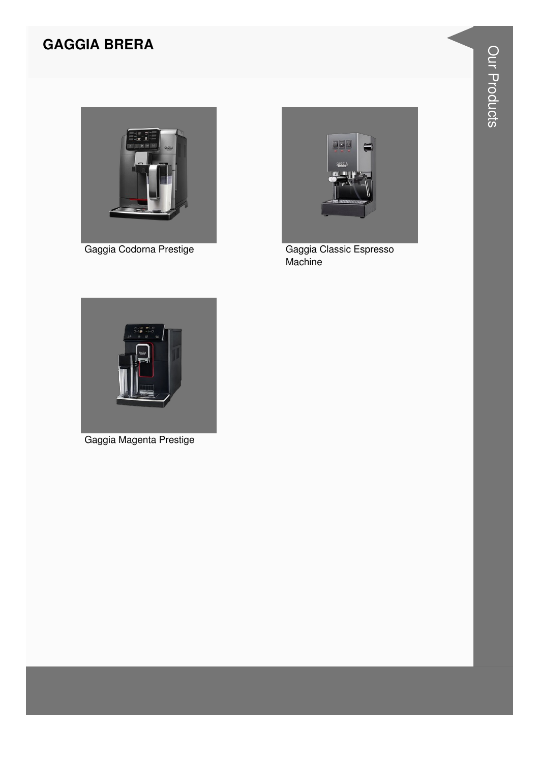#### **GAGGIA BRERA**



Gaggia Codorna Prestige



Gaggia Classic Espresso Machine



Gaggia Magenta Prestige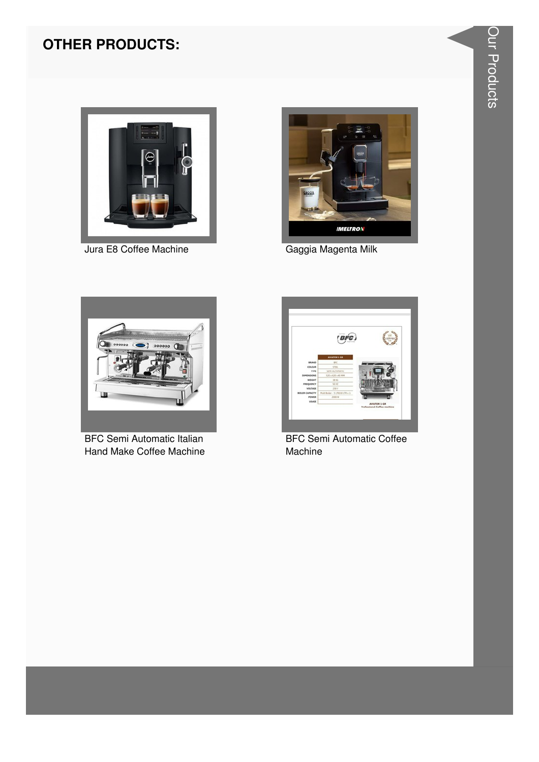#### **OTHER PRODUCTS:**



Jura E8 Coffee Machine



Gaggia Magenta Milk



**BFC Semi Automatic Italian** Hand Make Coffee Machine



**BFC Semi Automatic Coffee** Machine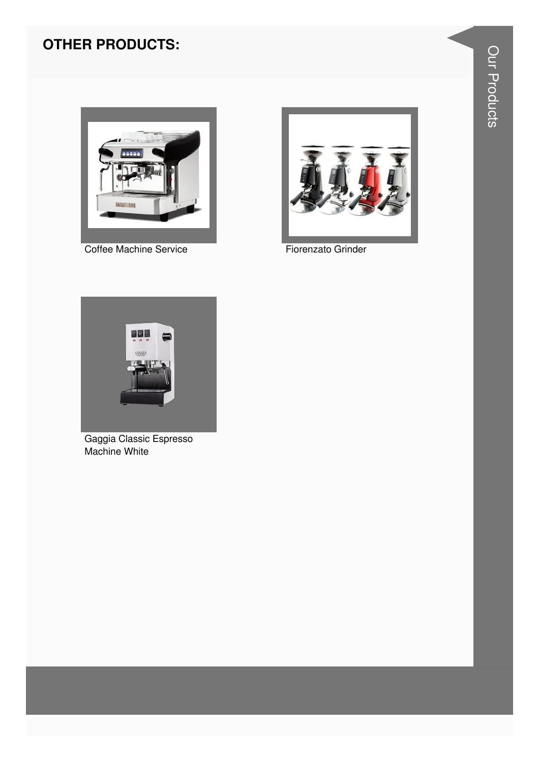### **OTHER PRODUCTS:**



**Coffee Machine Service** 



Fiorenzato Grinder



Gaggia Classic Espresso<br>Machine White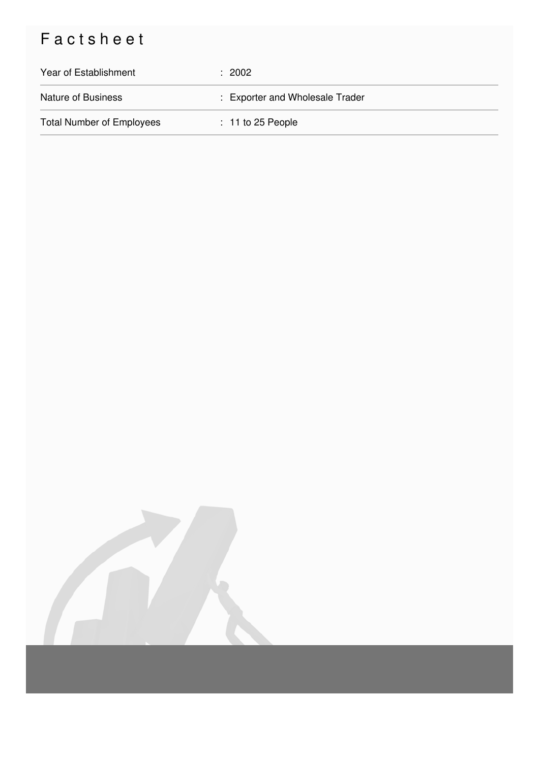## Factsheet

| Year of Establishment            | : 2002                          |
|----------------------------------|---------------------------------|
| <b>Nature of Business</b>        | : Exporter and Wholesale Trader |
| <b>Total Number of Employees</b> | $: 11$ to 25 People             |